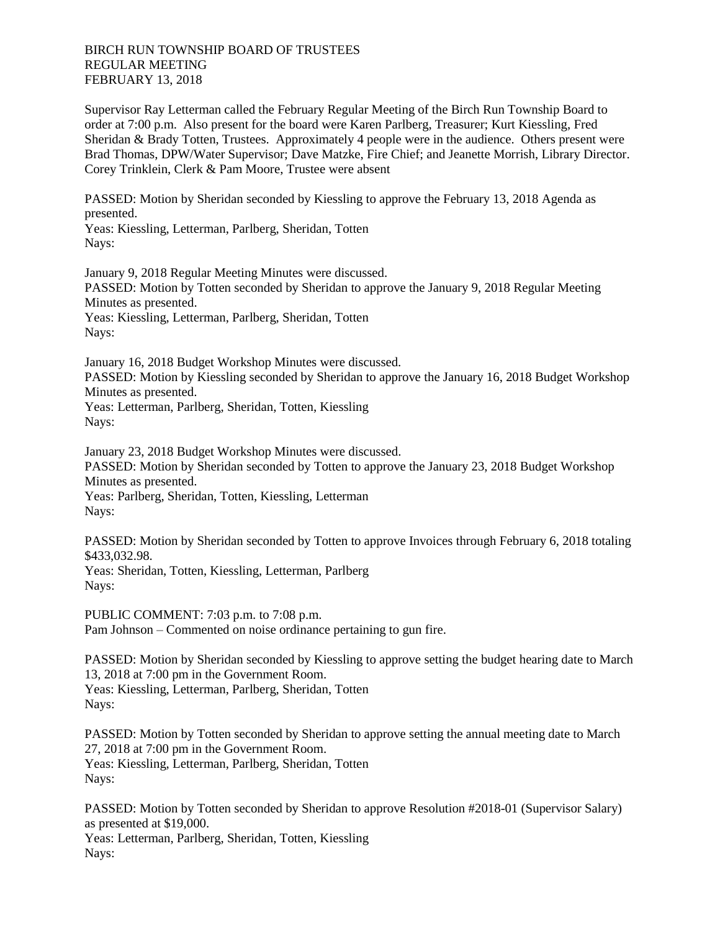## BIRCH RUN TOWNSHIP BOARD OF TRUSTEES REGULAR MEETING FEBRUARY 13, 2018

Supervisor Ray Letterman called the February Regular Meeting of the Birch Run Township Board to order at 7:00 p.m. Also present for the board were Karen Parlberg, Treasurer; Kurt Kiessling, Fred Sheridan & Brady Totten, Trustees. Approximately 4 people were in the audience. Others present were Brad Thomas, DPW/Water Supervisor; Dave Matzke, Fire Chief; and Jeanette Morrish, Library Director. Corey Trinklein, Clerk & Pam Moore, Trustee were absent

PASSED: Motion by Sheridan seconded by Kiessling to approve the February 13, 2018 Agenda as presented.

Yeas: Kiessling, Letterman, Parlberg, Sheridan, Totten Nays:

January 9, 2018 Regular Meeting Minutes were discussed. PASSED: Motion by Totten seconded by Sheridan to approve the January 9, 2018 Regular Meeting Minutes as presented. Yeas: Kiessling, Letterman, Parlberg, Sheridan, Totten Navs:

January 16, 2018 Budget Workshop Minutes were discussed. PASSED: Motion by Kiessling seconded by Sheridan to approve the January 16, 2018 Budget Workshop Minutes as presented. Yeas: Letterman, Parlberg, Sheridan, Totten, Kiessling Nays:

January 23, 2018 Budget Workshop Minutes were discussed. PASSED: Motion by Sheridan seconded by Totten to approve the January 23, 2018 Budget Workshop Minutes as presented.

Yeas: Parlberg, Sheridan, Totten, Kiessling, Letterman Nays:

PASSED: Motion by Sheridan seconded by Totten to approve Invoices through February 6, 2018 totaling \$433,032.98.

Yeas: Sheridan, Totten, Kiessling, Letterman, Parlberg Nays:

PUBLIC COMMENT: 7:03 p.m. to 7:08 p.m. Pam Johnson – Commented on noise ordinance pertaining to gun fire.

PASSED: Motion by Sheridan seconded by Kiessling to approve setting the budget hearing date to March 13, 2018 at 7:00 pm in the Government Room. Yeas: Kiessling, Letterman, Parlberg, Sheridan, Totten Nays:

PASSED: Motion by Totten seconded by Sheridan to approve setting the annual meeting date to March 27, 2018 at 7:00 pm in the Government Room. Yeas: Kiessling, Letterman, Parlberg, Sheridan, Totten Nays:

PASSED: Motion by Totten seconded by Sheridan to approve Resolution #2018-01 (Supervisor Salary) as presented at \$19,000.

Yeas: Letterman, Parlberg, Sheridan, Totten, Kiessling Nays: